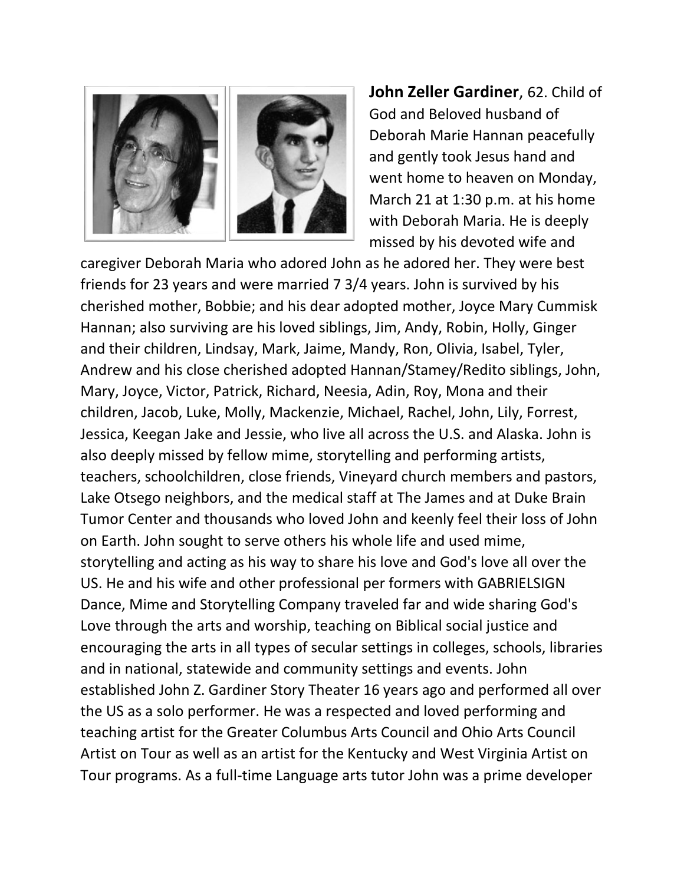

**John Zeller Gardiner**, 62. Child of God and Beloved husband of Deborah Marie Hannan peacefully and gently took Jesus hand and went home to heaven on Monday, March 21 at 1:30 p.m. at his home with Deborah Maria. He is deeply missed by his devoted wife and

caregiver Deborah Maria who adored John as he adored her. They were best friends for 23 years and were married 7 3/4 years. John is survived by his cherished mother, Bobbie; and his dear adopted mother, Joyce Mary Cummisk Hannan; also surviving are his loved siblings, Jim, Andy, Robin, Holly, Ginger and their children, Lindsay, Mark, Jaime, Mandy, Ron, Olivia, Isabel, Tyler, Andrew and his close cherished adopted Hannan/Stamey/Redito siblings, John, Mary, Joyce, Victor, Patrick, Richard, Neesia, Adin, Roy, Mona and their children, Jacob, Luke, Molly, Mackenzie, Michael, Rachel, John, Lily, Forrest, Jessica, Keegan Jake and Jessie, who live all across the U.S. and Alaska. John is also deeply missed by fellow mime, storytelling and performing artists, teachers, schoolchildren, close friends, Vineyard church members and pastors, Lake Otsego neighbors, and the medical staff at The James and at Duke Brain Tumor Center and thousands who loved John and keenly feel their loss of John on Earth. John sought to serve others his whole life and used mime, storytelling and acting as his way to share his love and God's love all over the US. He and his wife and other professional per formers with GABRIELSIGN Dance, Mime and Storytelling Company traveled far and wide sharing God's Love through the arts and worship, teaching on Biblical social justice and encouraging the arts in all types of secular settings in colleges, schools, libraries and in national, statewide and community settings and events. John established John Z. Gardiner Story Theater 16 years ago and performed all over the US as a solo performer. He was a respected and loved performing and teaching artist for the Greater Columbus Arts Council and Ohio Arts Council Artist on Tour as well as an artist for the Kentucky and West Virginia Artist on Tour programs. As a full-time Language arts tutor John was a prime developer